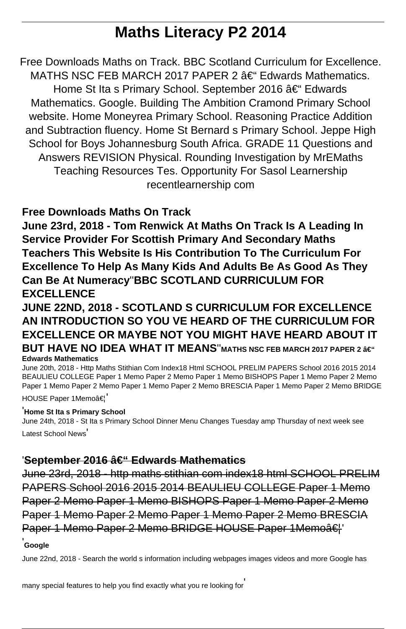# **Maths Literacy P2 2014**

Free Downloads Maths on Track. BBC Scotland Curriculum for Excellence. MATHS NSC FEB MARCH 2017 PAPER 2  $\hat{a}\in$  Edwards Mathematics. Home St Ita s Primary School. September 2016 †Edwards Mathematics. Google. Building The Ambition Cramond Primary School website. Home Moneyrea Primary School. Reasoning Practice Addition and Subtraction fluency. Home St Bernard s Primary School. Jeppe High School for Boys Johannesburg South Africa. GRADE 11 Questions and Answers REVISION Physical. Rounding Investigation by MrEMaths Teaching Resources Tes. Opportunity For Sasol Learnership recentlearnership com

## **Free Downloads Maths On Track**

**June 23rd, 2018 - Tom Renwick At Maths On Track Is A Leading In Service Provider For Scottish Primary And Secondary Maths Teachers This Website Is His Contribution To The Curriculum For Excellence To Help As Many Kids And Adults Be As Good As They Can Be At Numeracy**''**BBC SCOTLAND CURRICULUM FOR EXCELLENCE**

**JUNE 22ND, 2018 - SCOTLAND S CURRICULUM FOR EXCELLENCE AN INTRODUCTION SO YOU VE HEARD OF THE CURRICULUM FOR EXCELLENCE OR MAYBE NOT YOU MIGHT HAVE HEARD ABOUT IT BUT HAVE NO IDEA WHAT IT MEANS"MATHS NSC FEB MARCH 2017 PAPER 2 – Edwards Mathematics**

June 20th, 2018 - Http Maths Stithian Com Index18 Html SCHOOL PRELIM PAPERS School 2016 2015 2014 BEAULIEU COLLEGE Paper 1 Memo Paper 2 Memo Paper 1 Memo BISHOPS Paper 1 Memo Paper 2 Memo Paper 1 Memo Paper 2 Memo Paper 1 Memo Paper 2 Memo BRESCIA Paper 1 Memo Paper 2 Memo BRIDGE HOUSE Paper 1Memoâ€!

#### '**Home St Ita s Primary School**

June 24th, 2018 - St Ita s Primary School Dinner Menu Changes Tuesday amp Thursday of next week see Latest School News'

### 'September 2016 – Edwards Mathematics

June 23rd, 2018 - http maths stithian com index18 html SCHOOL PRELIM PAPERS School 2016 2015 2014 BEAULIEU COLLEGE Paper 1 Memo Paper 2 Memo Paper 1 Memo BISHOPS Paper 1 Memo Paper 2 Memo Paper 1 Memo Paper 2 Memo Paper 1 Memo Paper 2 Memo BRESCIA Paper 1 Memo Paper 2 Memo BRIDGE HOUSE Paper 1 Memoâ€<sup>"</sup>

#### **Google**

June 22nd, 2018 - Search the world s information including webpages images videos and more Google has

many special features to help you find exactly what you re looking for'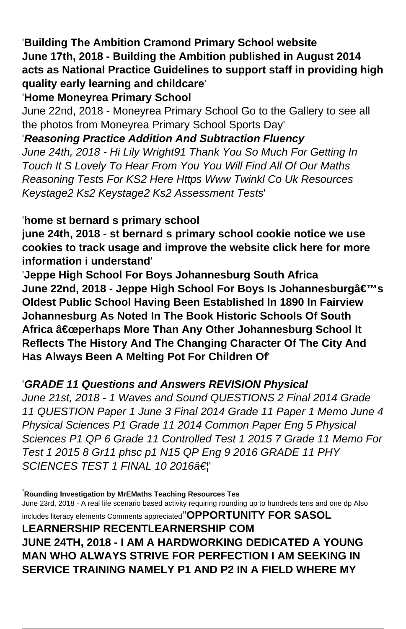'**Building The Ambition Cramond Primary School website June 17th, 2018 - Building the Ambition published in August 2014 acts as National Practice Guidelines to support staff in providing high quality early learning and childcare**'

'**Home Moneyrea Primary School**

June 22nd, 2018 - Moneyrea Primary School Go to the Gallery to see all the photos from Moneyrea Primary School Sports Day'

'**Reasoning Practice Addition And Subtraction Fluency** June 24th, 2018 - Hi Lily Wright91 Thank You So Much For Getting In Touch It S Lovely To Hear From You You Will Find All Of Our Maths Reasoning Tests For KS2 Here Https Www Twinkl Co Uk Resources Keystage2 Ks2 Keystage2 Ks2 Assessment Tests'

'**home st bernard s primary school**

**june 24th, 2018 - st bernard s primary school cookie notice we use cookies to track usage and improve the website click here for more information i understand**'

'**Jeppe High School For Boys Johannesburg South Africa June 22nd, 2018 - Jeppe High School For Boys Is Johannesburg's Oldest Public School Having Been Established In 1890 In Fairview Johannesburg As Noted In The Book Historic Schools Of South** Africa a€œperhaps More Than Any Other Johannesburg School It **Reflects The History And The Changing Character Of The City And Has Always Been A Melting Pot For Children Of**'

## '**GRADE 11 Questions and Answers REVISION Physical**

June 21st, 2018 - 1 Waves and Sound QUESTIONS 2 Final 2014 Grade 11 QUESTION Paper 1 June 3 Final 2014 Grade 11 Paper 1 Memo June 4 Physical Sciences P1 Grade 11 2014 Common Paper Eng 5 Physical Sciences P1 QP 6 Grade 11 Controlled Test 1 2015 7 Grade 11 Memo For Test 1 2015 8 Gr11 phsc p1 N15 QP Eng 9 2016 GRADE 11 PHY SCIENCES TEST 1 FINAL 10 2016†!

'**Rounding Investigation by MrEMaths Teaching Resources Tes** June 23rd, 2018 - A real life scenario based activity requiring rounding up to hundreds tens and one dp Also includes literacy elements Comments appreciated''**OPPORTUNITY FOR SASOL LEARNERSHIP RECENTLEARNERSHIP COM JUNE 24TH, 2018 - I AM A HARDWORKING DEDICATED A YOUNG MAN WHO ALWAYS STRIVE FOR PERFECTION I AM SEEKING IN SERVICE TRAINING NAMELY P1 AND P2 IN A FIELD WHERE MY**